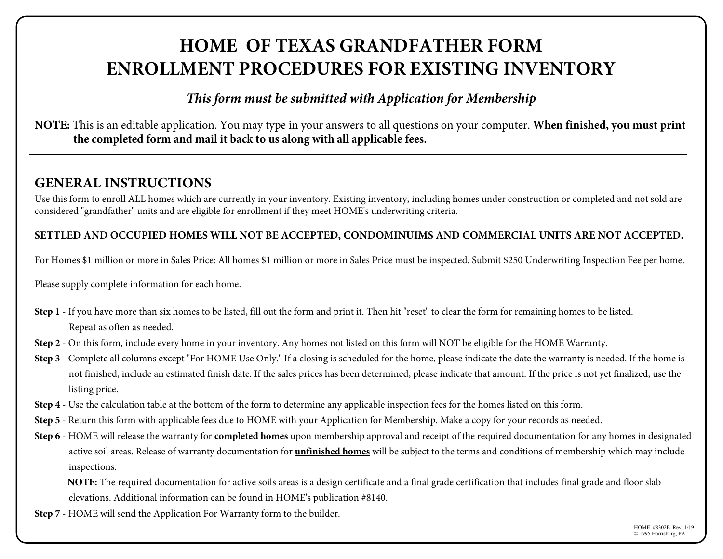# **HOME OF TEXAS GRANDFATHER FORM ENROLLMENT PROCEDURES FOR EXISTING INVENTORY**

## *This form must be submitted with Application for Membership*

**NOTE:** This is an editable application. You may type in your answers to all questions on your computer. **When finished, you must print the completed form and mail it back to us along with all applicable fees.** 

# **GENERAL INSTRUCTIONS**

Use this form to enroll ALL homes which are currently in your inventory. Existing inventory, including homes under construction or completed and not sold are considered "grandfather" units and are eligible for enrollment if they meet HOME's underwriting criteria.

### **SETTLED AND OCCUPIED HOMES WILL NOT BE ACCEPTED, CONDOMINUIMS AND COMMERCIAL UNITS ARE NOT ACCEPTED.**

For Homes \$1 million or more in Sales Price: All homes \$1 million or more in Sales Price must be inspected. Submit \$250 Underwriting Inspection Fee per home.

Please supply complete information for each home.

- **Step 1** If you have more than six homes to be listed, fill out the form and print it. Then hit "reset" to clear the form for remaining homes to be listed. Repeat as often as needed.
- **Step 2** On this form, include every home in your inventory. Any homes not listed on this form will NOT be eligible for the HOME Warranty.
- **Step 3** Complete all columns except "For HOME Use Only." If a closing is scheduled for the home, please indicate the date the warranty is needed. If the home is not finished, include an estimated finish date. If the sales prices has been determined, please indicate that amount. If the price is not yet finalized, use the listing price.
- **Step 4** Use the calculation table at the bottom of the form to determine any applicable inspection fees for the homes listed on this form.
- **Step 5** Return this form with applicable fees due to HOME with your Application for Membership. Make a copy for your records as needed.
- **Step 6** HOME will release the warranty for **completed homes** upon membership approval and receipt of the required documentation for any homes in designated active soil areas. Release of warranty documentation for **unfinished homes** will be subject to the terms and conditions of membership which may include inspections.

**NOTE:** The required documentation for active soils areas is a design certificate and a final grade certification that includes final grade and floor slab elevations. Additional information can be found in HOME's publication #8140.

**Step 7** - HOME will send the Application For Warranty form to the builder.